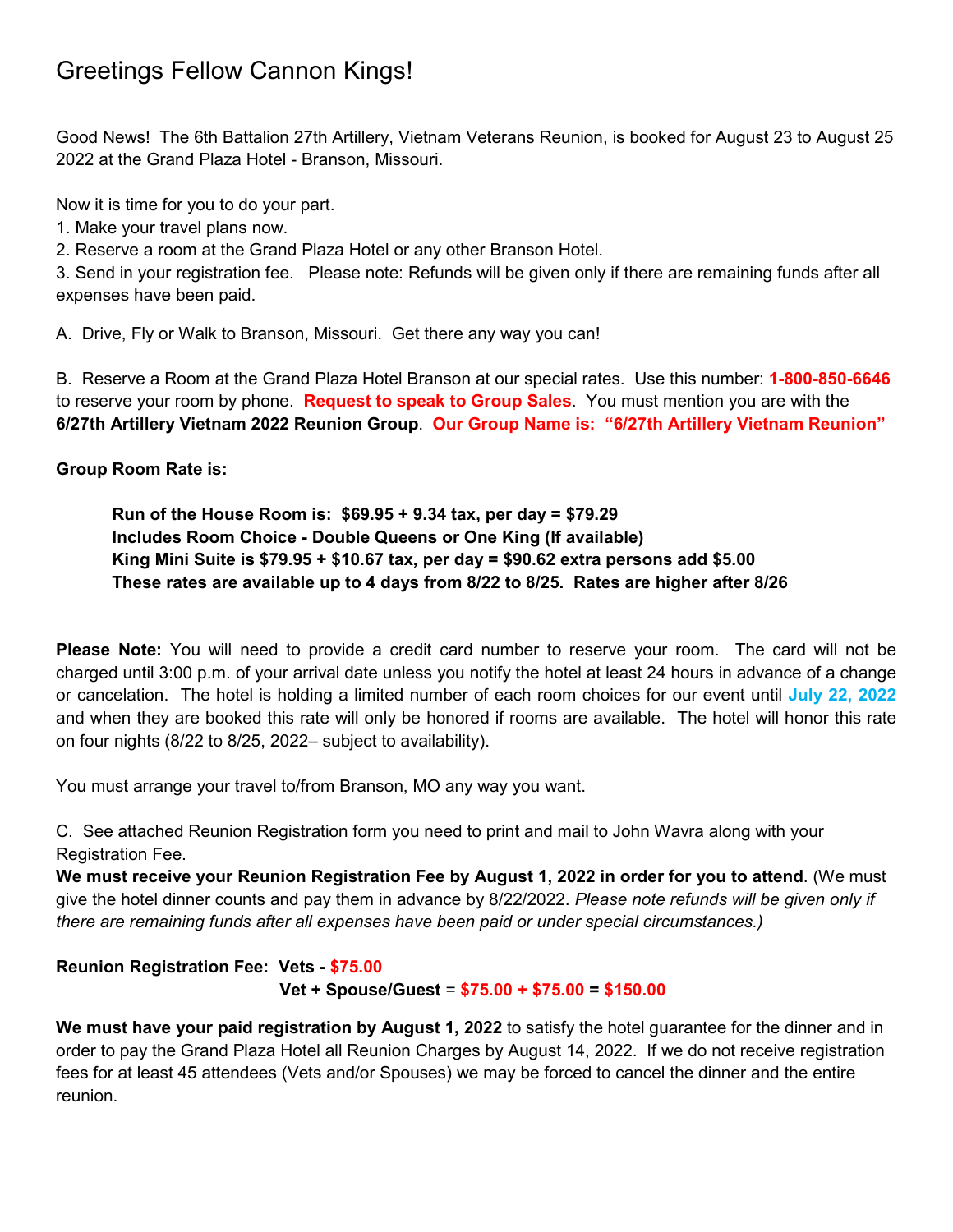# Greetings Fellow Cannon Kings!

Good News! The 6th Battalion 27th Artillery, Vietnam Veterans Reunion, is booked for August 23 to August 25 2022 at the Grand Plaza Hotel - Branson, Missouri.

Now it is time for you to do your part.

1. Make your travel plans now.

2. Reserve a room at the Grand Plaza Hotel or any other Branson Hotel.

3. Send in your registration fee. Please note: Refunds will be given only if there are remaining funds after all expenses have been paid.

A. Drive, Fly or Walk to Branson, Missouri. Get there any way you can!

B. Reserve a Room at the Grand Plaza Hotel Branson at our special rates. Use this number: **1-800-850-6646**  to reserve your room by phone. **Request to speak to Group Sales**. You must mention you are with the **6/27th Artillery Vietnam 2022 Reunion Group**. **Our Group Name is: "6/27th Artillery Vietnam Reunion"**

**Group Room Rate is:** 

**Run of the House Room is: \$69.95 + 9.34 tax, per day = \$79.29 Includes Room Choice - Double Queens or One King (If available) King Mini Suite is \$79.95 + \$10.67 tax, per day = \$90.62 extra persons add \$5.00 These rates are available up to 4 days from 8/22 to 8/25. Rates are higher after 8/26** 

**Please Note:** You will need to provide a credit card number to reserve your room. The card will not be charged until 3:00 p.m. of your arrival date unless you notify the hotel at least 24 hours in advance of a change or cancelation. The hotel is holding a limited number of each room choices for our event until **July 22, 2022** and when they are booked this rate will only be honored if rooms are available. The hotel will honor this rate on four nights (8/22 to 8/25, 2022– subject to availability).

You must arrange your travel to/from Branson, MO any way you want.

C. See attached Reunion Registration form you need to print and mail to John Wavra along with your Registration Fee.

**We must receive your Reunion Registration Fee by August 1, 2022 in order for you to attend**. (We must give the hotel dinner counts and pay them in advance by 8/22/2022. *Please note refunds will be given only if there are remaining funds after all expenses have been paid or under special circumstances.)*

**Reunion Registration Fee: Vets - \$75.00**

**Vet + Spouse/Guest** = **\$75.00 + \$75.00 = \$150.00**

**We must have your paid registration by August 1, 2022** to satisfy the hotel guarantee for the dinner and in order to pay the Grand Plaza Hotel all Reunion Charges by August 14, 2022. If we do not receive registration fees for at least 45 attendees (Vets and/or Spouses) we may be forced to cancel the dinner and the entire reunion.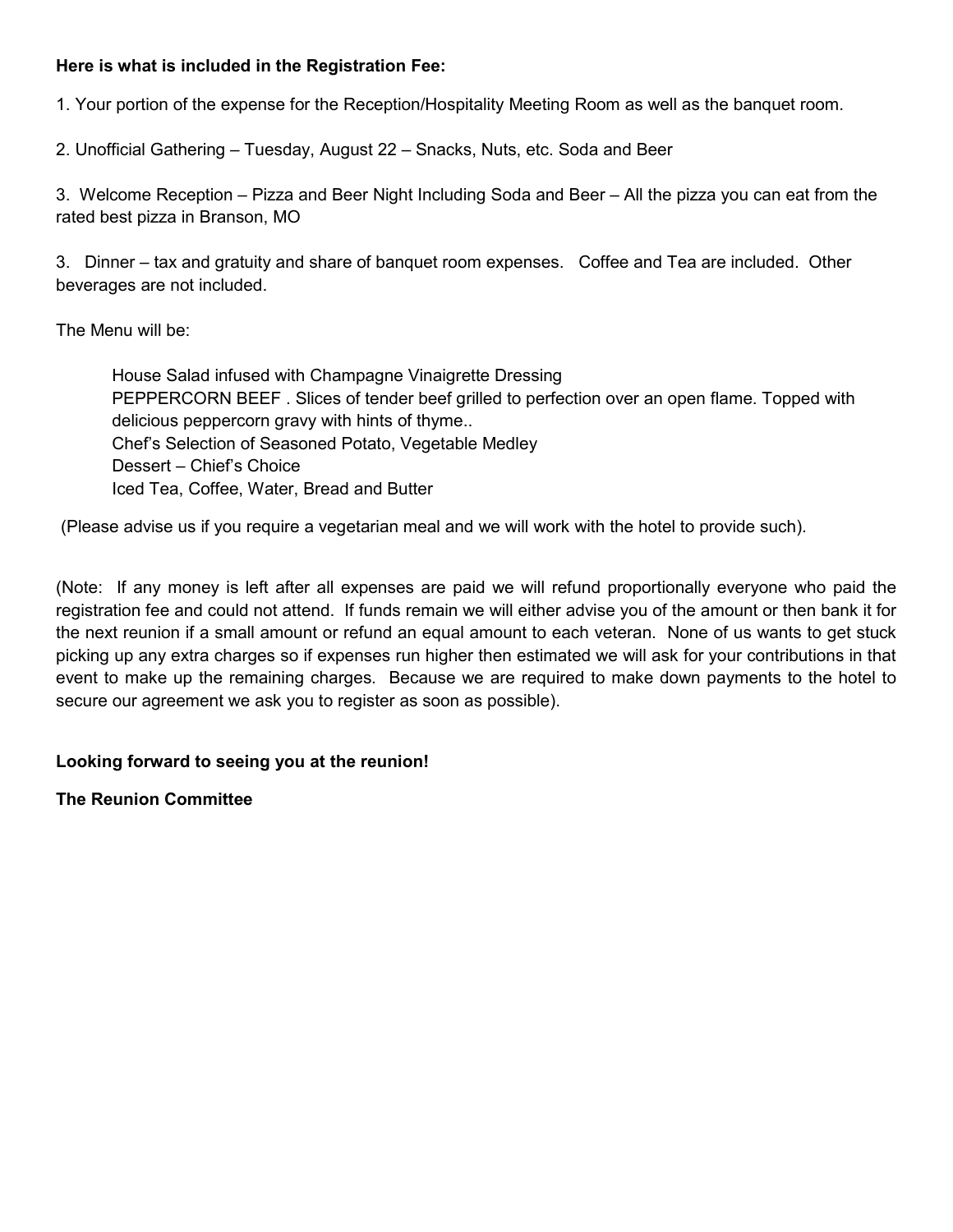#### **Here is what is included in the Registration Fee:**

1. Your portion of the expense for the Reception/Hospitality Meeting Room as well as the banquet room.

2. Unofficial Gathering – Tuesday, August 22 – Snacks, Nuts, etc. Soda and Beer

3. Welcome Reception – Pizza and Beer Night Including Soda and Beer – All the pizza you can eat from the rated best pizza in Branson, MO

3. Dinner – tax and gratuity and share of banquet room expenses. Coffee and Tea are included. Other beverages are not included.

The Menu will be:

House Salad infused with Champagne Vinaigrette Dressing PEPPERCORN BEEF . Slices of tender beef grilled to perfection over an open flame. Topped with delicious peppercorn gravy with hints of thyme.. Chef's Selection of Seasoned Potato, Vegetable Medley Dessert – Chief's Choice Iced Tea, Coffee, Water, Bread and Butter

(Please advise us if you require a vegetarian meal and we will work with the hotel to provide such).

(Note: If any money is left after all expenses are paid we will refund proportionally everyone who paid the registration fee and could not attend. If funds remain we will either advise you of the amount or then bank it for the next reunion if a small amount or refund an equal amount to each veteran. None of us wants to get stuck picking up any extra charges so if expenses run higher then estimated we will ask for your contributions in that event to make up the remaining charges. Because we are required to make down payments to the hotel to secure our agreement we ask you to register as soon as possible).

### **Looking forward to seeing you at the reunion!**

**The Reunion Committee**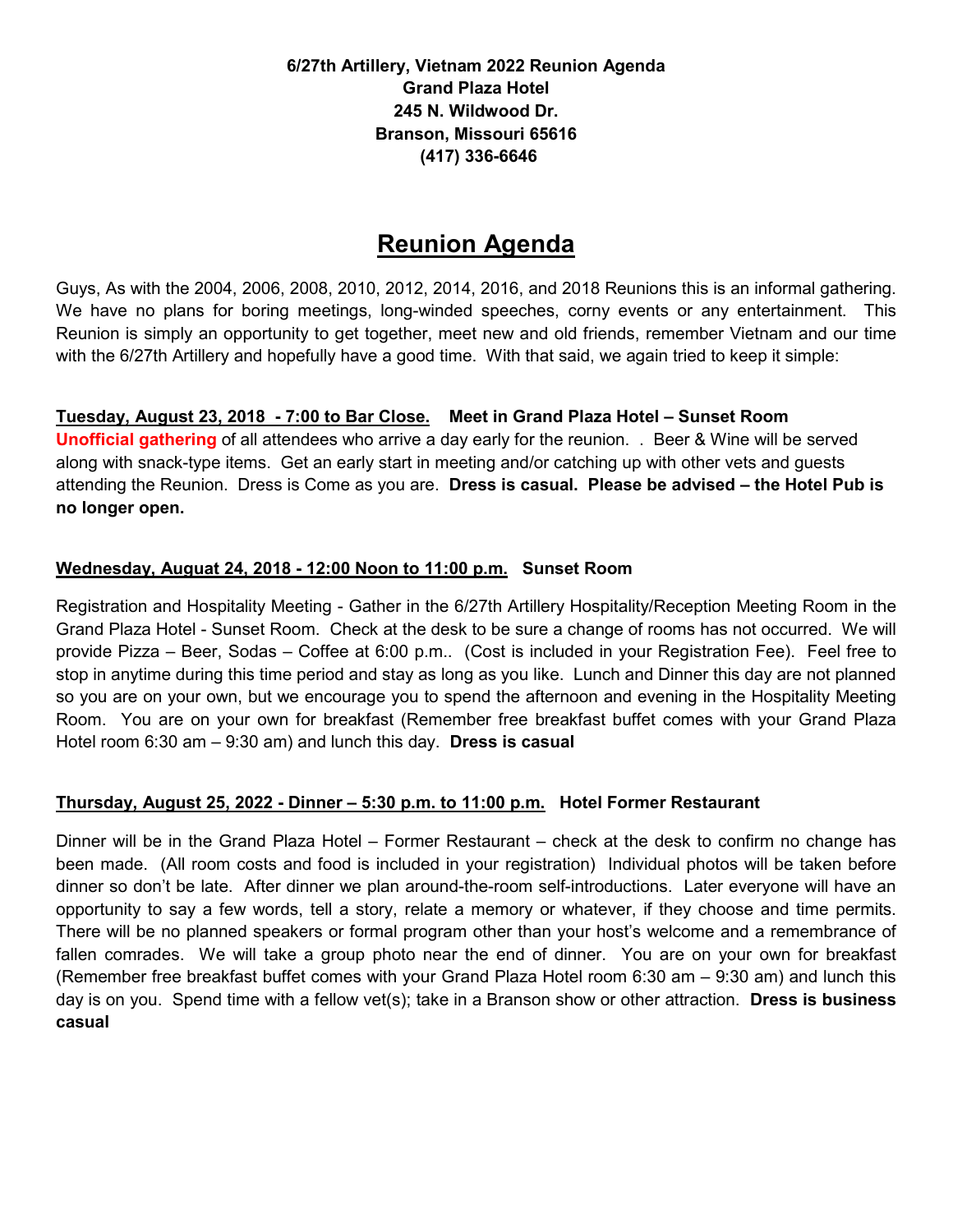**6/27th Artillery, Vietnam 2022 Reunion Agenda Grand Plaza Hotel 245 N. Wildwood Dr. Branson, Missouri 65616 (417) 336-6646** 

## **Reunion Agenda**

Guys, As with the 2004, 2006, 2008, 2010, 2012, 2014, 2016, and 2018 Reunions this is an informal gathering. We have no plans for boring meetings, long-winded speeches, corny events or any entertainment. This Reunion is simply an opportunity to get together, meet new and old friends, remember Vietnam and our time with the 6/27th Artillery and hopefully have a good time. With that said, we again tried to keep it simple:

### **Tuesday, August 23, 2018 - 7:00 to Bar Close. Meet in Grand Plaza Hotel – Sunset Room**

**Unofficial gathering** of all attendees who arrive a day early for the reunion. . Beer & Wine will be served along with snack-type items. Get an early start in meeting and/or catching up with other vets and guests attending the Reunion. Dress is Come as you are. **Dress is casual. Please be advised – the Hotel Pub is no longer open.**

### **Wednesday, Auguat 24, 2018 - 12:00 Noon to 11:00 p.m. Sunset Room**

Registration and Hospitality Meeting - Gather in the 6/27th Artillery Hospitality/Reception Meeting Room in the Grand Plaza Hotel - Sunset Room. Check at the desk to be sure a change of rooms has not occurred. We will provide Pizza – Beer, Sodas – Coffee at 6:00 p.m.. (Cost is included in your Registration Fee). Feel free to stop in anytime during this time period and stay as long as you like. Lunch and Dinner this day are not planned so you are on your own, but we encourage you to spend the afternoon and evening in the Hospitality Meeting Room. You are on your own for breakfast (Remember free breakfast buffet comes with your Grand Plaza Hotel room 6:30 am – 9:30 am) and lunch this day. **Dress is casual**

### **Thursday, August 25, 2022 - Dinner – 5:30 p.m. to 11:00 p.m. Hotel Former Restaurant**

Dinner will be in the Grand Plaza Hotel – Former Restaurant – check at the desk to confirm no change has been made. (All room costs and food is included in your registration) Individual photos will be taken before dinner so don't be late. After dinner we plan around-the-room self-introductions. Later everyone will have an opportunity to say a few words, tell a story, relate a memory or whatever, if they choose and time permits. There will be no planned speakers or formal program other than your host's welcome and a remembrance of fallen comrades. We will take a group photo near the end of dinner. You are on your own for breakfast (Remember free breakfast buffet comes with your Grand Plaza Hotel room 6:30 am – 9:30 am) and lunch this day is on you. Spend time with a fellow vet(s); take in a Branson show or other attraction. **Dress is business casual**